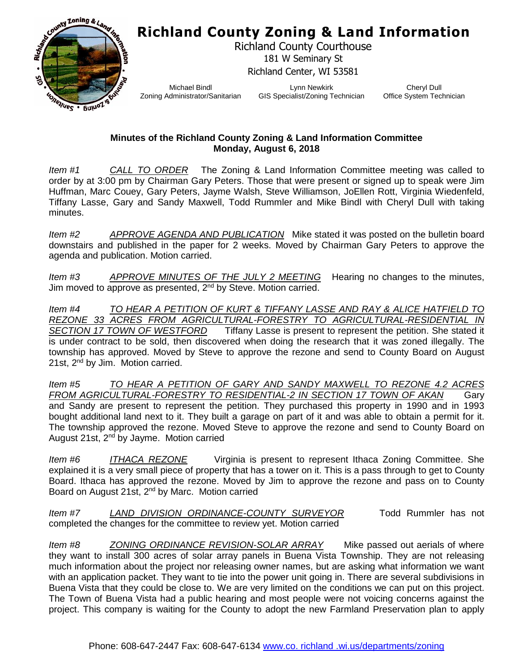## **Richland County Zoning & Land Information**



Richland County Courthouse 181 W Seminary St Richland Center, WI 53581

Michael Bindl Zoning Administrator/Sanitarian

Lynn Newkirk GIS Specialist/Zoning Technician

Cheryl Dull Office System Technician

## **Minutes of the Richland County Zoning & Land Information Committee Monday, August 6, 2018**

*Item #1 CALL TO ORDER* The Zoning & Land Information Committee meeting was called to order by at 3:00 pm by Chairman Gary Peters. Those that were present or signed up to speak were Jim Huffman, Marc Couey, Gary Peters, Jayme Walsh, Steve Williamson, JoEllen Rott, Virginia Wiedenfeld, Tiffany Lasse, Gary and Sandy Maxwell, Todd Rummler and Mike Bindl with Cheryl Dull with taking minutes.

*Item #2 APPROVE AGENDA AND PUBLICATION* Mike stated it was posted on the bulletin board downstairs and published in the paper for 2 weeks. Moved by Chairman Gary Peters to approve the agenda and publication. Motion carried.

*Item #3 APPROVE MINUTES OF THE JULY 2 MEETING* Hearing no changes to the minutes, Jim moved to approve as presented,  $2<sup>nd</sup>$  by Steve. Motion carried.

*Item #4 TO HEAR A PETITION OF KURT & TIFFANY LASSE AND RAY & ALICE HATFIELD TO REZONE 33 ACRES FROM AGRICULTURAL-FORESTRY TO AGRICULTURAL-RESIDENTIAL IN SECTION 17 TOWN OF WESTFORD* Tiffany Lasse is present to represent the petition. She stated it is under contract to be sold, then discovered when doing the research that it was zoned illegally. The township has approved. Moved by Steve to approve the rezone and send to County Board on August 21st, 2<sup>nd</sup> by Jim. Motion carried.

*Item #5 TO HEAR A PETITION OF GARY AND SANDY MAXWELL TO REZONE 4.2 ACRES FROM AGRICULTURAL-FORESTRY TO RESIDENTIAL-2 IN SECTION 17 TOWN OF AKAN* Gary and Sandy are present to represent the petition. They purchased this property in 1990 and in 1993 bought additional land next to it. They built a garage on part of it and was able to obtain a permit for it. The township approved the rezone. Moved Steve to approve the rezone and send to County Board on August 21st, 2<sup>nd</sup> by Jayme. Motion carried

*Item #6 ITHACA REZONE* Virginia is present to represent Ithaca Zoning Committee. She explained it is a very small piece of property that has a tower on it. This is a pass through to get to County Board. Ithaca has approved the rezone. Moved by Jim to approve the rezone and pass on to County Board on August 21st, 2nd by Marc. Motion carried

*Item #7 LAND DIVISION ORDINANCE-COUNTY SURVEYOR* Todd Rummler has not completed the changes for the committee to review yet. Motion carried

*Item #8 ZONING ORDINANCE REVISION-SOLAR ARRAY* Mike passed out aerials of where they want to install 300 acres of solar array panels in Buena Vista Township. They are not releasing much information about the project nor releasing owner names, but are asking what information we want with an application packet. They want to tie into the power unit going in. There are several subdivisions in Buena Vista that they could be close to. We are very limited on the conditions we can put on this project. The Town of Buena Vista had a public hearing and most people were not voicing concerns against the project. This company is waiting for the County to adopt the new Farmland Preservation plan to apply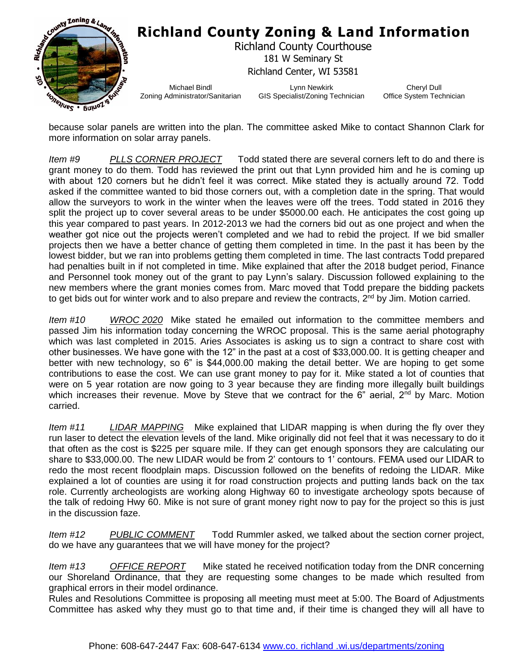

because solar panels are written into the plan. The committee asked Mike to contact Shannon Clark for more information on solar array panels.

*Item #9 PLLS CORNER PROJECT* Todd stated there are several corners left to do and there is grant money to do them. Todd has reviewed the print out that Lynn provided him and he is coming up with about 120 corners but he didn't feel it was correct. Mike stated they is actually around 72. Todd asked if the committee wanted to bid those corners out, with a completion date in the spring. That would allow the surveyors to work in the winter when the leaves were off the trees. Todd stated in 2016 they split the project up to cover several areas to be under \$5000.00 each. He anticipates the cost going up this year compared to past years. In 2012-2013 we had the corners bid out as one project and when the weather got nice out the projects weren't completed and we had to rebid the project. If we bid smaller projects then we have a better chance of getting them completed in time. In the past it has been by the lowest bidder, but we ran into problems getting them completed in time. The last contracts Todd prepared had penalties built in if not completed in time. Mike explained that after the 2018 budget period, Finance and Personnel took money out of the grant to pay Lynn's salary. Discussion followed explaining to the new members where the grant monies comes from. Marc moved that Todd prepare the bidding packets to get bids out for winter work and to also prepare and review the contracts, 2<sup>nd</sup> by Jim. Motion carried.

*Item #10 WROC 2020* Mike stated he emailed out information to the committee members and passed Jim his information today concerning the WROC proposal. This is the same aerial photography which was last completed in 2015. Aries Associates is asking us to sign a contract to share cost with other businesses. We have gone with the 12" in the past at a cost of \$33,000.00. It is getting cheaper and better with new technology, so 6" is \$44,000.00 making the detail better. We are hoping to get some contributions to ease the cost. We can use grant money to pay for it. Mike stated a lot of counties that were on 5 year rotation are now going to 3 year because they are finding more illegally built buildings which increases their revenue. Move by Steve that we contract for the 6" aerial,  $2<sup>nd</sup>$  by Marc. Motion carried.

*Item #11 LIDAR MAPPING* Mike explained that LIDAR mapping is when during the fly over they run laser to detect the elevation levels of the land. Mike originally did not feel that it was necessary to do it that often as the cost is \$225 per square mile. If they can get enough sponsors they are calculating our share to \$33,000.00. The new LIDAR would be from 2' contours to 1' contours. FEMA used our LIDAR to redo the most recent floodplain maps. Discussion followed on the benefits of redoing the LIDAR. Mike explained a lot of counties are using it for road construction projects and putting lands back on the tax role. Currently archeologists are working along Highway 60 to investigate archeology spots because of the talk of redoing Hwy 60. Mike is not sure of grant money right now to pay for the project so this is just in the discussion faze.

*Item #12 PUBLIC COMMENT* Todd Rummler asked, we talked about the section corner project, do we have any guarantees that we will have money for the project?

*Item #13 OFFICE REPORT* Mike stated he received notification today from the DNR concerning our Shoreland Ordinance, that they are requesting some changes to be made which resulted from graphical errors in their model ordinance.

Rules and Resolutions Committee is proposing all meeting must meet at 5:00. The Board of Adjustments Committee has asked why they must go to that time and, if their time is changed they will all have to